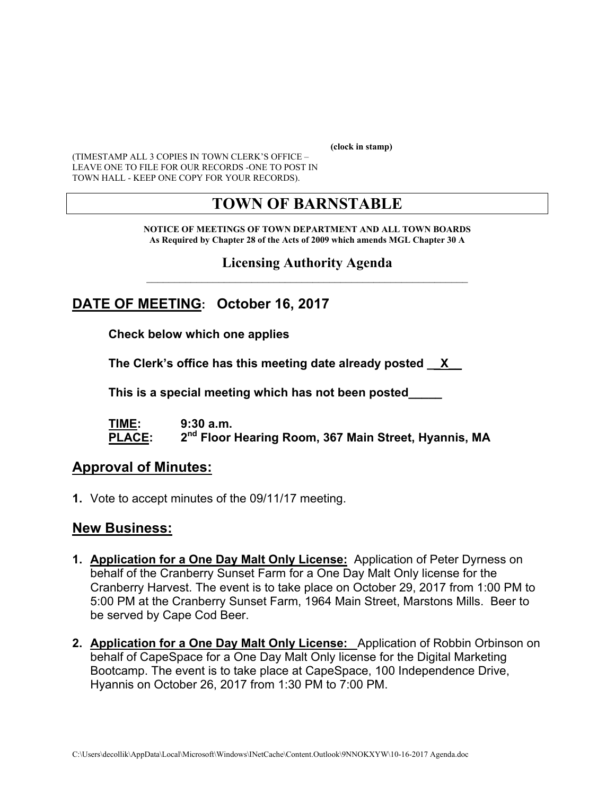**(clock in stamp)** 

(TIMESTAMP ALL 3 COPIES IN TOWN CLERK'S OFFICE – LEAVE ONE TO FILE FOR OUR RECORDS -ONE TO POST IN TOWN HALL - KEEP ONE COPY FOR YOUR RECORDS).

# **TOWN OF BARNSTABLE**

**NOTICE OF MEETINGS OF TOWN DEPARTMENT AND ALL TOWN BOARDS As Required by Chapter 28 of the Acts of 2009 which amends MGL Chapter 30 A** 

**Licensing Authority Agenda**  $\mathcal{L}_\text{max}$  and the contract of the contract of the contract of the contract of the contract of the contract of

## **DATE OF MEETING: October 16, 2017**

**Check below which one applies** 

**The Clerk's office has this meeting date already posted \_\_X\_\_** 

 **This is a special meeting which has not been posted\_\_\_\_\_** 

**TIME: 9:30 a.m.**  PLACE: 2<sup>nd</sup> Floor Hearing Room, 367 Main Street, Hyannis, MA

#### **Approval of Minutes:**

**1.** Vote to accept minutes of the 09/11/17 meeting.

#### **New Business:**

- **1. Application for a One Day Malt Only License:** Application of Peter Dyrness on behalf of the Cranberry Sunset Farm for a One Day Malt Only license for the Cranberry Harvest. The event is to take place on October 29, 2017 from 1:00 PM to 5:00 PM at the Cranberry Sunset Farm, 1964 Main Street, Marstons Mills. Beer to be served by Cape Cod Beer.
- **2. Application for a One Day Malt Only License:** Application of Robbin Orbinson on behalf of CapeSpace for a One Day Malt Only license for the Digital Marketing Bootcamp. The event is to take place at CapeSpace, 100 Independence Drive, Hyannis on October 26, 2017 from 1:30 PM to 7:00 PM.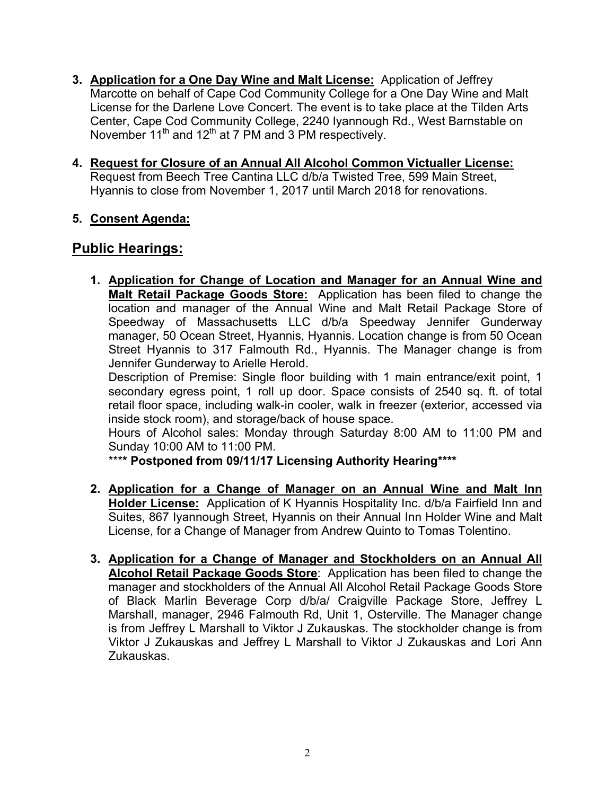- **3. Application for a One Day Wine and Malt License:** Application of Jeffrey Marcotte on behalf of Cape Cod Community College for a One Day Wine and Malt License for the Darlene Love Concert. The event is to take place at the Tilden Arts Center, Cape Cod Community College, 2240 Iyannough Rd., West Barnstable on November  $11^{th}$  and  $12^{th}$  at 7 PM and 3 PM respectively.
- **4. Request for Closure of an Annual All Alcohol Common Victualler License:**  Request from Beech Tree Cantina LLC d/b/a Twisted Tree, 599 Main Street, Hyannis to close from November 1, 2017 until March 2018 for renovations.

#### **5. Consent Agenda:**

## **Public Hearings:**

**1. Application for Change of Location and Manager for an Annual Wine and Malt Retail Package Goods Store:** Application has been filed to change the location and manager of the Annual Wine and Malt Retail Package Store of Speedway of Massachusetts LLC d/b/a Speedway Jennifer Gunderway manager, 50 Ocean Street, Hyannis, Hyannis. Location change is from 50 Ocean Street Hyannis to 317 Falmouth Rd., Hyannis. The Manager change is from Jennifer Gunderway to Arielle Herold.

Description of Premise: Single floor building with 1 main entrance/exit point, 1 secondary egress point, 1 roll up door. Space consists of 2540 sq. ft. of total retail floor space, including walk-in cooler, walk in freezer (exterior, accessed via inside stock room), and storage/back of house space.

Hours of Alcohol sales: Monday through Saturday 8:00 AM to 11:00 PM and Sunday 10:00 AM to 11:00 PM.

\*\*\***\* Postponed from 09/11/17 Licensing Authority Hearing\*\*\*\*** 

- **2. Application for a Change of Manager on an Annual Wine and Malt Inn Holder License:** Application of K Hyannis Hospitality Inc. d/b/a Fairfield Inn and Suites, 867 Iyannough Street, Hyannis on their Annual Inn Holder Wine and Malt License, for a Change of Manager from Andrew Quinto to Tomas Tolentino.
- **3. Application for a Change of Manager and Stockholders on an Annual All Alcohol Retail Package Goods Store**: Application has been filed to change the manager and stockholders of the Annual All Alcohol Retail Package Goods Store of Black Marlin Beverage Corp d/b/a/ Craigville Package Store, Jeffrey L Marshall, manager, 2946 Falmouth Rd, Unit 1, Osterville. The Manager change is from Jeffrey L Marshall to Viktor J Zukauskas. The stockholder change is from Viktor J Zukauskas and Jeffrey L Marshall to Viktor J Zukauskas and Lori Ann Zukauskas.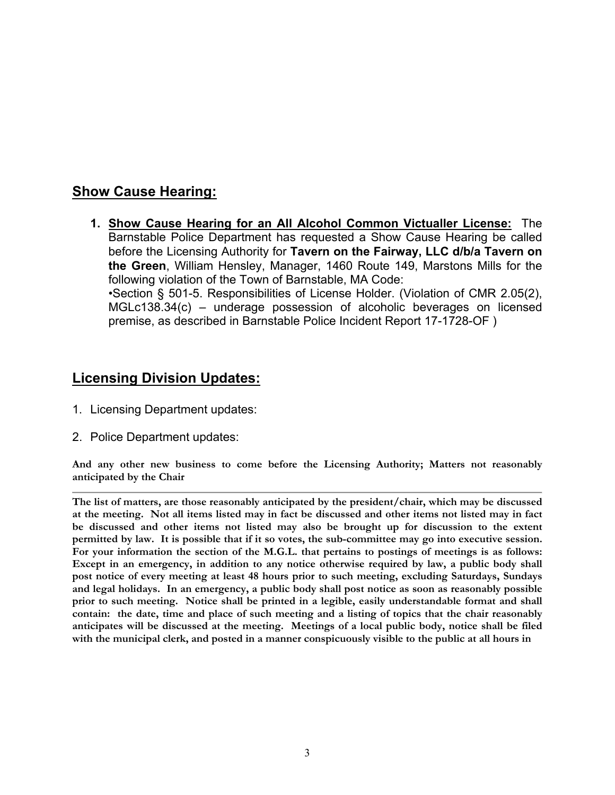## **Show Cause Hearing:**

**1. Show Cause Hearing for an All Alcohol Common Victualler License:** The Barnstable Police Department has requested a Show Cause Hearing be called before the Licensing Authority for **Tavern on the Fairway, LLC d/b/a Tavern on the Green**, William Hensley, Manager, 1460 Route 149, Marstons Mills for the following violation of the Town of Barnstable, MA Code: •Section § 501-5. Responsibilities of License Holder. (Violation of CMR 2.05(2), MGLc138.34(c) – underage possession of alcoholic beverages on licensed premise, as described in Barnstable Police Incident Report 17-1728-OF )

## **Licensing Division Updates:**

- 1. Licensing Department updates:
- 2. Police Department updates:

**And any other new business to come before the Licensing Authority; Matters not reasonably anticipated by the Chair** 

**The list of matters, are those reasonably anticipated by the president/chair, which may be discussed at the meeting. Not all items listed may in fact be discussed and other items not listed may in fact be discussed and other items not listed may also be brought up for discussion to the extent permitted by law. It is possible that if it so votes, the sub-committee may go into executive session. For your information the section of the M.G.L. that pertains to postings of meetings is as follows: Except in an emergency, in addition to any notice otherwise required by law, a public body shall post notice of every meeting at least 48 hours prior to such meeting, excluding Saturdays, Sundays and legal holidays. In an emergency, a public body shall post notice as soon as reasonably possible prior to such meeting. Notice shall be printed in a legible, easily understandable format and shall contain: the date, time and place of such meeting and a listing of topics that the chair reasonably anticipates will be discussed at the meeting. Meetings of a local public body, notice shall be filed with the municipal clerk, and posted in a manner conspicuously visible to the public at all hours in**